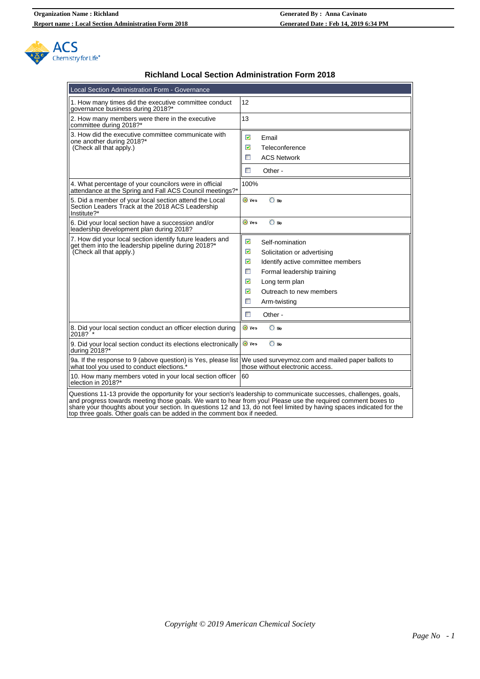

# **Richland Local Section Administration Form 2018**

| Local Section Administration Form - Governance                                                                                                               |                                                                                                                                                                                                                                                |  |
|--------------------------------------------------------------------------------------------------------------------------------------------------------------|------------------------------------------------------------------------------------------------------------------------------------------------------------------------------------------------------------------------------------------------|--|
| 1. How many times did the executive committee conduct<br>governance business during 2018?*                                                                   | 12                                                                                                                                                                                                                                             |  |
| 2. How many members were there in the executive<br>committee during 2018?*                                                                                   | 13                                                                                                                                                                                                                                             |  |
| 3. How did the executive committee communicate with<br>one another during 2018?*<br>(Check all that apply.)                                                  | ☑<br>Email<br>☑<br>Teleconference<br>$\mathcal{L}_{\mathcal{A}}$<br><b>ACS Network</b><br>$\mathbb{R}^n$<br>Other -                                                                                                                            |  |
| 4. What percentage of your councilors were in official<br>attendance at the Spring and Fall ACS Council meetings?*                                           | 100%                                                                                                                                                                                                                                           |  |
| 5. Did a member of your local section attend the Local<br>Section Leaders Track at the 2018 ACS Leadership<br>Institute?*                                    | O Yes<br>$\bigcirc$ No                                                                                                                                                                                                                         |  |
| 6. Did your local section have a succession and/or<br>leadership development plan during 2018?                                                               | $\bigcirc$ No<br>O Yes                                                                                                                                                                                                                         |  |
| 7. How did your local section identify future leaders and<br>get them into the leadership pipeline during 2018?*<br>(Check all that apply.)                  | ☑<br>Self-nomination<br>☑<br>Solicitation or advertising<br>☑<br>Identify active committee members<br>$\blacksquare$<br>Formal leadership training<br>☑<br>Long term plan<br>M<br>Outreach to new members<br>П<br>Arm-twisting<br>П<br>Other - |  |
| 8. Did your local section conduct an officer election during<br>2018?                                                                                        | $\bigcirc$ No<br>O Yes                                                                                                                                                                                                                         |  |
| 9. Did your local section conduct its elections electronically<br>during 2018?*                                                                              | $\bigcirc$ No<br>O Yes                                                                                                                                                                                                                         |  |
| 9a. If the response to 9 (above question) is Yes, please list We used surveymoz.com and mailed paper ballots to<br>what tool you used to conduct elections.' | those without electronic access.                                                                                                                                                                                                               |  |
| 10. How many members voted in your local section officer<br>election in 2018?*                                                                               | 60                                                                                                                                                                                                                                             |  |
| Questions 11-13 provide the opportunity for your section's leadership to communicate successes, challenges, goals,                                           | saa aaala 100a waatto kaas fisis wax Diaaaa waa ika sasiisad                                                                                                                                                                                   |  |

and progress towards meeting those goals. We want to hear from you! Please use the required comment boxes to share your thoughts about your section. In questions 12 and 13, do not feel limited by having spaces indicated for the top three goals. Other goals can be added in the comment box if needed.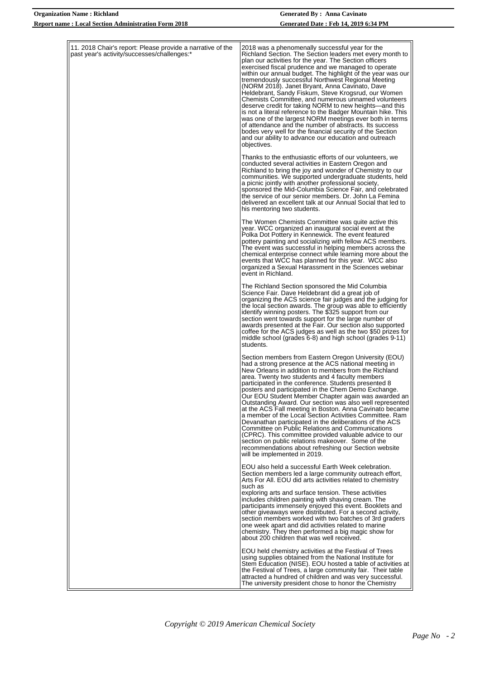| <b>Organization Name : Richland</b>                  | Generated By: Anna Cavinato          |
|------------------------------------------------------|--------------------------------------|
| Report name : Local Section Administration Form 2018 | Generated Date: Feb 14, 2019 6:34 PM |

| 11. 2018 Chair's report: Please provide a narrative of the<br>past year's activity/successes/challenges:* | 2018 was a phenomenally successful year for the<br>Richland Section. The Section leaders met every month to<br>plan our activities for the year. The Section officers<br>exercised fiscal prudence and we managed to operate<br>within our annual budget. The highlight of the year was our<br>tremendously successful Northwest Regional Meeting<br>(NORM 2018). Janet Bryant, Anna Cavinato, Dave<br>Heldebrant, Sandy Fiskum, Steve Krogsrud, our Women<br>Chemists Committee, and numerous unnamed volunteers<br>deserve credit for taking NORM to new heights—and this<br>is not a literal reference to the Badger Mountain hike. This<br>was one of the largest NORM meetings ever both in terms<br>of attendance and the number of abstracts. Its success<br>bodes very well for the financial security of the Section<br>and our ability to advance our education and outreach<br>objectives. |
|-----------------------------------------------------------------------------------------------------------|-------------------------------------------------------------------------------------------------------------------------------------------------------------------------------------------------------------------------------------------------------------------------------------------------------------------------------------------------------------------------------------------------------------------------------------------------------------------------------------------------------------------------------------------------------------------------------------------------------------------------------------------------------------------------------------------------------------------------------------------------------------------------------------------------------------------------------------------------------------------------------------------------------|
|                                                                                                           | Thanks to the enthusiastic efforts of our volunteers, we<br>conducted several activities in Eastern Oregon and<br>Richland to bring the joy and wonder of Chemistry to our<br>communities. We supported undergraduate students, held<br>a picnic jointly with another professional society,<br>sponsored the Mid-Columbia Science Fair, and celebrated<br>the service of our senior members. Dr. John La Femina<br>delivered an excellent talk at our Annual Social that led to<br>his mentoring two students.                                                                                                                                                                                                                                                                                                                                                                                        |
|                                                                                                           | The Women Chemists Committee was quite active this<br>year. WCC organized an inaugural social event at the<br>Polka Dot Pottery in Kennewick. The event featured<br>pottery painting and socializing with fellow ACS members.<br>The event was successful in helping members across the<br>chemical enterprise connect while learning more about the<br>events that WCC has planned for this year. WCC also<br>organized a Sexual Harassment in the Sciences webinar<br>event in Richland.                                                                                                                                                                                                                                                                                                                                                                                                            |
|                                                                                                           | The Richland Section sponsored the Mid Columbia<br>Science Fair. Dave Heldebrant did a great job of<br>organizing the ACS science fair judges and the judging for<br>the local section awards. The group was able to efficiently<br>identify winning posters. The \$325 support from our<br>section went towards support for the large number of<br>awards presented at the Fair. Our section also supported<br>coffee for the ACS judges as well as the two \$50 prizes for<br>middle school (grades 6-8) and high school (grades 9-11)<br>students.                                                                                                                                                                                                                                                                                                                                                 |
|                                                                                                           | Section members from Eastern Oregon University (EOU)<br>had a strong presence at the ACS national meeting in<br>New Orleans in addition to members from the Richland<br>area. Twenty two students and 4 faculty members<br>participated in the conference. Students presented 8<br>posters and participated in the Chem Demo Exchange.<br>Our EOU Student Member Chapter again was awarded an<br>Outstanding Award. Our section was also well represented<br>at the ACS Fall meeting in Boston. Anna Cavinato became<br>a member of the Local Section Activities Committee. Ram<br>Devanathan participated in the deliberations of the ACS<br>Committee on Public Relations and Communications<br>(CPRC). This committee provided valuable advice to our<br>section on public relations makeover. Some of the<br>recommendations about refreshing our Section website<br>will be implemented in 2019. |
|                                                                                                           | EOU also held a successful Earth Week celebration.<br>Section members led a large community outreach effort,<br>Arts For All. EOU did arts activities related to chemistry<br>such as<br>exploring arts and surface tension. These activities<br>includes children painting with shaving cream. The<br>participants immensely enjoyed this event. Booklets and<br>other giveaways were distributed. For a second activity,<br>section members worked with two batches of 3rd graders<br>one week apart and did activities related to marine<br>chemistry. They then performed a big magic show for<br>about 200 children that was well received.                                                                                                                                                                                                                                                      |
|                                                                                                           | EOU held chemistry activities at the Festival of Trees<br>using supplies obtained from the National Institute for<br>Stem Education (NISE). EOU hosted a table of activities at<br>the Festival of Trees, a large community fair. Their table<br>attracted a hundred of children and was very successful.<br>The university president chose to honor the Chemistry                                                                                                                                                                                                                                                                                                                                                                                                                                                                                                                                    |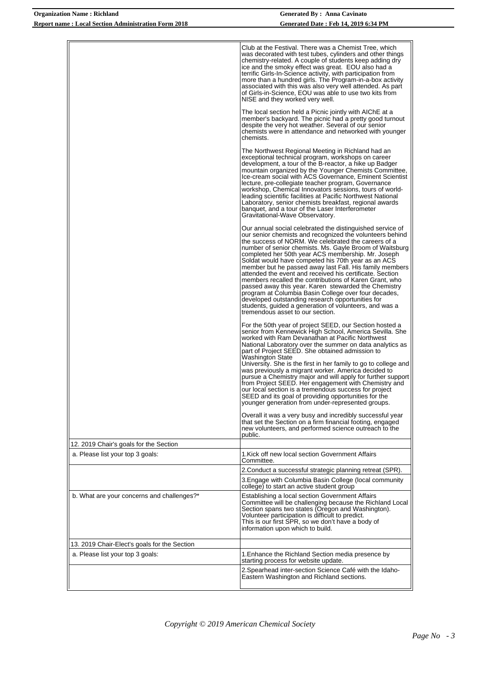| <b>Organization Name: Richland</b>                         | Generated By: Anna Cavinato                                                                                                                                                                                                                                                                                                                                                                                                                                                                                                                                                                                                                                                                                                                                                                            |  |
|------------------------------------------------------------|--------------------------------------------------------------------------------------------------------------------------------------------------------------------------------------------------------------------------------------------------------------------------------------------------------------------------------------------------------------------------------------------------------------------------------------------------------------------------------------------------------------------------------------------------------------------------------------------------------------------------------------------------------------------------------------------------------------------------------------------------------------------------------------------------------|--|
| <b>Report name: Local Section Administration Form 2018</b> | <b>Generated Date: Feb 14, 2019 6:34 PM</b>                                                                                                                                                                                                                                                                                                                                                                                                                                                                                                                                                                                                                                                                                                                                                            |  |
|                                                            |                                                                                                                                                                                                                                                                                                                                                                                                                                                                                                                                                                                                                                                                                                                                                                                                        |  |
|                                                            | Club at the Festival. There was a Chemist Tree, which<br>was decorated with test tubes, cylinders and other things<br>chemistry-related. A couple of students keep adding dry<br>ice and the smoky effect was great. EOU also had a<br>terrific Girls-In-Science activity, with participation from<br>more than a hundred girls. The Program-in-a-box activity<br>associated with this was also very well attended. As part<br>of Girls-in-Science, EOU was able to use two kits from<br>NISE and they worked very well.                                                                                                                                                                                                                                                                               |  |
|                                                            | The local section held a Picnic jointly with AIChE at a<br>member's backyard. The picnic had a pretty good turnout<br>despite the very hot weather. Several of our senior<br>chemists were in attendance and networked with younger<br>chemists.                                                                                                                                                                                                                                                                                                                                                                                                                                                                                                                                                       |  |
|                                                            | The Northwest Regional Meeting in Richland had an<br>exceptional technical program, workshops on career<br>development, a tour of the B-reactor, a hike up Badger<br>mountain organized by the Younger Chemists Committee,<br>Ice-cream social with ACS Governance, Eminent Scientist<br>lecture, pre-collegiate teacher program, Governance<br>workshop, Chemical Innovators sessions, tours of world-<br>leading scientific facilities at Pacific Northwest National<br>Laboratory, senior chemists breakfast, regional awards<br>banquet, and a tour of the Laser Interferometer<br>Gravitational-Wave Observatory.                                                                                                                                                                                 |  |
|                                                            | Our annual social celebrated the distinguished service of<br>our senior chemists and recognized the volunteers behind<br>the success of NORM. We celebrated the careers of a<br>number of senior chemists. Ms. Gayle Broom of Waitsburg<br>completed her 50th year ACS membership. Mr. Joseph<br>Soldat would have competed his 70th year as an ACS<br>member but he passed away last Fall. His family members<br>attended the event and received his certificate. Section<br>members recalled the contributions of Karen Grant, who<br>passed away this year. Karen stewarded the Chemistry<br>program at Columbia Basin College over four decades,<br>developed outstanding research opportunities for<br>students, guided a generation of volunteers, and was a<br>tremendous asset to our section. |  |
|                                                            | For the 50th year of project SEED, our Section hosted a<br>senior from Kennewick High School, America Sevilla. She<br>worked with Ram Devanathan at Pacific Northwest<br>National Laboratory over the summer on data analytics as<br>part of Project SEED. She obtained admission to<br><b>Washington State</b><br>University. She is the first in her family to go to college and<br>was previously a migrant worker. America decided to<br>pursue a Chemistry major and will apply for further support<br>from Project SEED. Her engagement with Chemistry and<br>our local section is a tremendous success for project<br>SEED and its goal of providing opportunities for the<br>younger generation from under-represented groups.                                                                 |  |
|                                                            | Overall it was a very busy and incredibly successful year<br>that set the Section on a firm financial footing, engaged<br>new volunteers, and performed science outreach to the<br>public.                                                                                                                                                                                                                                                                                                                                                                                                                                                                                                                                                                                                             |  |
| 12. 2019 Chair's goals for the Section                     |                                                                                                                                                                                                                                                                                                                                                                                                                                                                                                                                                                                                                                                                                                                                                                                                        |  |
| a. Please list your top 3 goals:                           | 1. Kick off new local section Government Affairs<br>Committee.                                                                                                                                                                                                                                                                                                                                                                                                                                                                                                                                                                                                                                                                                                                                         |  |
|                                                            | 2. Conduct a successful strategic planning retreat (SPR).                                                                                                                                                                                                                                                                                                                                                                                                                                                                                                                                                                                                                                                                                                                                              |  |
|                                                            | 3. Engage with Columbia Basin College (local community<br>college) to start an active student group                                                                                                                                                                                                                                                                                                                                                                                                                                                                                                                                                                                                                                                                                                    |  |
| b. What are your concerns and challenges?*                 | Establishing a local section Government Affairs<br>Committee will be challenging because the Richland Local<br>Section spans two states (Oregon and Washington).<br>Volunteer participation is difficult to predict.<br>This is our first SPR, so we don't have a body of<br>information upon which to build.                                                                                                                                                                                                                                                                                                                                                                                                                                                                                          |  |
| 13. 2019 Chair-Elect's goals for the Section               |                                                                                                                                                                                                                                                                                                                                                                                                                                                                                                                                                                                                                                                                                                                                                                                                        |  |
| a. Please list your top 3 goals:                           | 1. Enhance the Richland Section media presence by<br>starting process for website update.                                                                                                                                                                                                                                                                                                                                                                                                                                                                                                                                                                                                                                                                                                              |  |
|                                                            | 2. Spearhead inter-section Science Café with the Idaho-<br>Eastern Washington and Richland sections.                                                                                                                                                                                                                                                                                                                                                                                                                                                                                                                                                                                                                                                                                                   |  |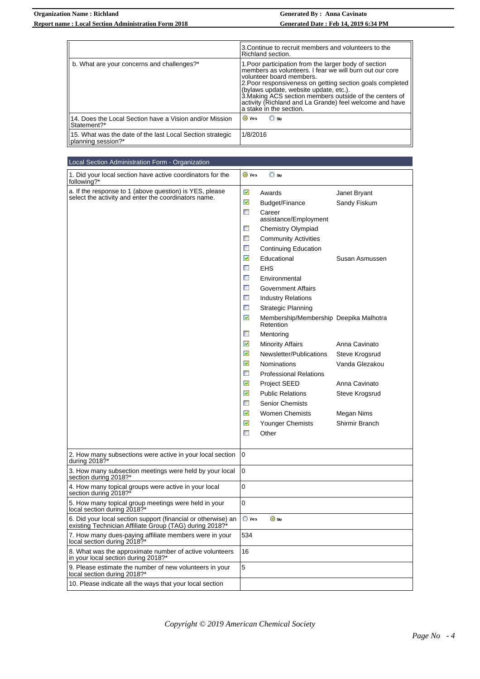# **Organization Name : Richland Generated By : Anna Cavinato Report name : Local Section Administration Form 2018 Generated Date : Feb 14, 2019 6:34 PM**

|                                                                                 | 3. Continue to recruit members and volunteers to the<br>Richland section.                                                                                                                                                                                                                                                                                                                            |
|---------------------------------------------------------------------------------|------------------------------------------------------------------------------------------------------------------------------------------------------------------------------------------------------------------------------------------------------------------------------------------------------------------------------------------------------------------------------------------------------|
| b. What are your concerns and challenges?*                                      | 1. Poor participation from the larger body of section<br>members as volunteers. I fear we will burn out our core<br>volunteer board members.<br>2. Poor responsiveness on getting section goals completed<br>(bylaws update, website update, etc.).<br>3. Making ACS section members outside of the centers of<br>activity (Richland and La Grande) feel welcome and have<br>a stake in the section. |
| 14. Does the Local Section have a Vision and/or Mission<br>Statement?*          | O Yes<br>$\bigcirc$ No                                                                                                                                                                                                                                                                                                                                                                               |
| 15. What was the date of the last Local Section strategic<br>planning session?* | 1/8/2016                                                                                                                                                                                                                                                                                                                                                                                             |

| Local Section Administration Form - Organization                                                                         |                                                                |
|--------------------------------------------------------------------------------------------------------------------------|----------------------------------------------------------------|
| 1. Did your local section have active coordinators for the<br>following?*                                                | O Yes<br>$\bigcirc$ No                                         |
| a. If the response to 1 (above question) is YES, please                                                                  | ☑<br>Awards<br>Janet Bryant                                    |
| select the activity and enter the coordinators name.                                                                     | ☑<br>Sandy Fiskum<br>Budget/Finance                            |
|                                                                                                                          | $\mathcal{L}_{\mathcal{A}}$<br>Career<br>assistance/Employment |
|                                                                                                                          | $\Box$<br><b>Chemistry Olympiad</b>                            |
|                                                                                                                          | $\mathbb{R}^3$<br><b>Community Activities</b>                  |
|                                                                                                                          | $\mathcal{L}_{\mathcal{A}}$<br><b>Continuing Education</b>     |
|                                                                                                                          | ☑<br>Educational<br>Susan Asmussen                             |
|                                                                                                                          | $\Box$<br><b>EHS</b>                                           |
|                                                                                                                          | $\mathbb{R}^3$<br>Environmental                                |
|                                                                                                                          | $\mathbb{R}^3$<br><b>Government Affairs</b>                    |
|                                                                                                                          | $\Box$<br><b>Industry Relations</b>                            |
|                                                                                                                          | $\blacksquare$<br><b>Strategic Planning</b>                    |
|                                                                                                                          | ☑<br>Membership/Membership Deepika Malhotra<br>Retention       |
|                                                                                                                          | $\mathcal{L}_{\mathcal{A}}$<br>Mentoring                       |
|                                                                                                                          | ☑<br><b>Minority Affairs</b><br>Anna Cavinato                  |
|                                                                                                                          | ☑<br>Newsletter/Publications<br>Steve Krogsrud                 |
|                                                                                                                          | M<br>Vanda Glezakou<br><b>Nominations</b>                      |
|                                                                                                                          | $\mathcal{L}_{\mathcal{A}}$<br><b>Professional Relations</b>   |
|                                                                                                                          | ☑<br>Anna Cavinato<br><b>Project SEED</b>                      |
|                                                                                                                          | ☑<br><b>Public Relations</b><br>Steve Krogsrud                 |
|                                                                                                                          | $\mathbb{R}^n$<br><b>Senior Chemists</b>                       |
|                                                                                                                          | ☑<br><b>Women Chemists</b><br>Megan Nims                       |
|                                                                                                                          | ☑<br>Shirmir Branch<br>Younger Chemists                        |
|                                                                                                                          | $\mathcal{L}_{\mathcal{A}}$<br>Other                           |
|                                                                                                                          |                                                                |
| 2. How many subsections were active in your local section<br>during 2018?*                                               | 0                                                              |
| 3. How many subsection meetings were held by your local<br>section during 2018?*                                         | 0                                                              |
| 4. How many topical groups were active in your local<br>section during 2018?*                                            | 0                                                              |
| 5. How many topical group meetings were held in your<br>local section during 2018?*                                      | 0                                                              |
| 6. Did your local section support (financial or otherwise) an<br>existing Technician Affiliate Group (TAG) during 2018?* | $\bigcirc$ Yes<br>$\bullet$ No                                 |
| 7. How many dues-paying affiliate members were in your<br>local section during 2018?*                                    | 534                                                            |
| 8. What was the approximate number of active volunteers<br>in your local section during 2018?*                           | 16                                                             |
| 9. Please estimate the number of new volunteers in your<br>local section during 2018?*                                   | 5                                                              |
| 10. Please indicate all the ways that your local section                                                                 |                                                                |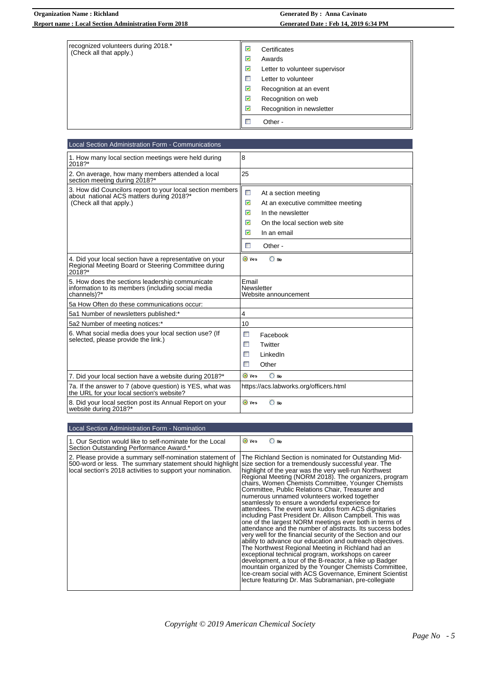# **Organization Name : Richland Generated By : Anna Cavinato Report name : Local Section Administration Form 2018 Generated Date : Feb 14, 2019 6:34 PM**

| recognized volunteers during 2018.*<br>(Check all that apply.) | ☑<br>Certificates<br>M<br>Awards<br>☑<br>Letter to volunteer supervisor<br>Ξ<br>Letter to volunteer<br>Ø<br>Recognition at an event<br>☑<br>Recognition on web<br>⊠<br>Recognition in newsletter<br>Ţ<br>Other - |
|----------------------------------------------------------------|------------------------------------------------------------------------------------------------------------------------------------------------------------------------------------------------------------------|
|                                                                |                                                                                                                                                                                                                  |

| Local Section Administration Form - Communications                                                                                |                                                                                                                                                                                                                |  |
|-----------------------------------------------------------------------------------------------------------------------------------|----------------------------------------------------------------------------------------------------------------------------------------------------------------------------------------------------------------|--|
| 1. How many local section meetings were held during<br>2018?*                                                                     | 8                                                                                                                                                                                                              |  |
| 2. On average, how many members attended a local<br>section meeting during 2018?*                                                 | 25                                                                                                                                                                                                             |  |
| 3. How did Councilors report to your local section members<br>about national ACS matters during 2018?*<br>(Check all that apply.) | $\Box$<br>At a section meeting<br>☑<br>At an executive committee meeting<br>☑<br>In the newsletter<br>☑<br>On the local section web site<br>$\overline{\mathbf{v}}$<br>In an email<br>Other -<br>$\mathcal{A}$ |  |
| 4. Did your local section have a representative on your<br>Regional Meeting Board or Steering Committee during<br>2018?*          | $\bigcirc$ Ho<br>O Yes                                                                                                                                                                                         |  |
| 5. How does the sections leadership communicate<br>information to its members (including social media<br>channels)?*              | Email<br>Newsletter<br>Website announcement                                                                                                                                                                    |  |
| 5a How Often do these communications occur:                                                                                       |                                                                                                                                                                                                                |  |
| 5a1 Number of newsletters published:*                                                                                             | 4                                                                                                                                                                                                              |  |
| 5a2 Number of meeting notices:*                                                                                                   | 10                                                                                                                                                                                                             |  |
| 6. What social media does your local section use? (If<br>selected, please provide the link.)                                      | $\mathcal{C}_{\mathcal{A}}$<br>Facebook<br>T.<br>Twitter<br>$\mathbb{R}^n$<br>I inkedIn<br><b>I</b><br>Other                                                                                                   |  |
| 7. Did your local section have a website during 2018?*                                                                            | O Yes<br>$\bigcirc$ Ho                                                                                                                                                                                         |  |
| 7a. If the answer to 7 (above question) is YES, what was<br>the URL for your local section's website?                             | https://acs.labworks.org/officers.html                                                                                                                                                                         |  |
| 8. Did your local section post its Annual Report on your<br>website during 2018?*                                                 | O Yes<br>$\bigcirc$ Ho                                                                                                                                                                                         |  |

| Local Section Administration Form - Nomination                                                                                                                                      |                                                                                                                                                                                                                                                                                                                                                                                                                                                                                                                                                                                                                                                                                                                                                                                                                                                                                                                                                                                                                                                                                                                                                                     |
|-------------------------------------------------------------------------------------------------------------------------------------------------------------------------------------|---------------------------------------------------------------------------------------------------------------------------------------------------------------------------------------------------------------------------------------------------------------------------------------------------------------------------------------------------------------------------------------------------------------------------------------------------------------------------------------------------------------------------------------------------------------------------------------------------------------------------------------------------------------------------------------------------------------------------------------------------------------------------------------------------------------------------------------------------------------------------------------------------------------------------------------------------------------------------------------------------------------------------------------------------------------------------------------------------------------------------------------------------------------------|
| 1. Our Section would like to self-nominate for the Local<br>Section Outstanding Performance Award.*                                                                                 | O Yes<br>$\bigcirc$ No                                                                                                                                                                                                                                                                                                                                                                                                                                                                                                                                                                                                                                                                                                                                                                                                                                                                                                                                                                                                                                                                                                                                              |
| 2. Please provide a summary self-nomination statement of<br>500-word or less. The summary statement should highlight<br>local section's 2018 activities to support your nomination. | The Richland Section is nominated for Outstanding Mid-<br>size section for a tremendously successful year. The<br>highlight of the year was the very well-run Northwest<br>Regional Meeting (NORM 2018). The organizers, program<br>chairs, Women Chemists Committee, Younger Chemists<br>Committee, Public Relations Chair, Treasurer and<br>numerous unnamed volunteers worked together<br>seamlessly to ensure a wonderful experience for<br>attendees. The event won kudos from ACS dignitaries<br>including Past President Dr. Allison Campbell. This was<br>one of the largest NORM meetings ever both in terms of<br>attendance and the number of abstracts. Its success bodes<br>very well for the financial security of the Section and our<br>ability to advance our education and outreach objectives.<br>The Northwest Regional Meeting in Richland had an<br>exceptional technical program, workshops on career<br>development, a tour of the B-reactor, a hike up Badger<br>mountain organized by the Younger Chemists Committee,<br>Ice-cream social with ACS Governance, Eminent Scientist<br>lecture featuring Dr. Mas Subramanian, pre-collegiate |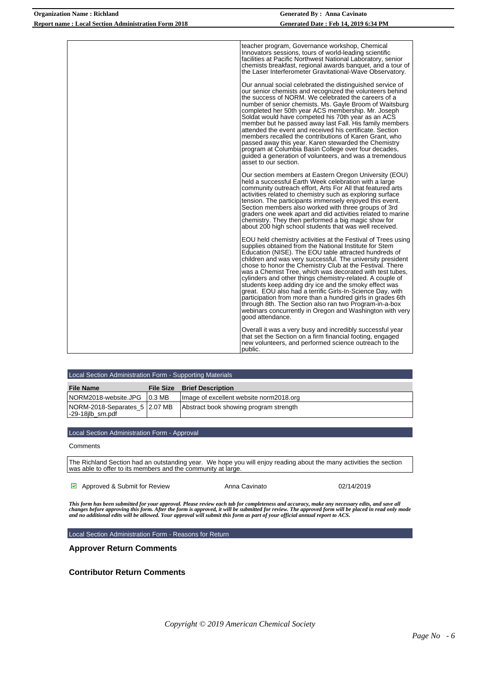| <b>Organization Name: Richland</b>                         | <b>Generated By: Anna Cavinato</b>                                                                                                                                                                                                                                                                                                                                                                                                                                                                                                                                                                                                                                                                                                                               |
|------------------------------------------------------------|------------------------------------------------------------------------------------------------------------------------------------------------------------------------------------------------------------------------------------------------------------------------------------------------------------------------------------------------------------------------------------------------------------------------------------------------------------------------------------------------------------------------------------------------------------------------------------------------------------------------------------------------------------------------------------------------------------------------------------------------------------------|
| <b>Report name: Local Section Administration Form 2018</b> | Generated Date: Feb 14, 2019 6:34 PM                                                                                                                                                                                                                                                                                                                                                                                                                                                                                                                                                                                                                                                                                                                             |
|                                                            |                                                                                                                                                                                                                                                                                                                                                                                                                                                                                                                                                                                                                                                                                                                                                                  |
|                                                            | teacher program, Governance workshop, Chemical<br>Innovators sessions, tours of world-leading scientific<br>facilities at Pacific Northwest National Laboratory, senior<br>chemists breakfast, regional awards banguet, and a tour of<br>the Laser Interferometer Gravitational-Wave Observatory.                                                                                                                                                                                                                                                                                                                                                                                                                                                                |
|                                                            | Our annual social celebrated the distinguished service of<br>our senior chemists and recognized the volunteers behind<br>the success of NORM. We celebrated the careers of a<br>number of senior chemists. Ms. Gayle Broom of Waitsburg<br>completed her 50th year ACS membership. Mr. Joseph<br>Soldat would have competed his 70th year as an ACS<br>member but he passed away last Fall. His family members<br>attended the event and received his certificate. Section<br>members recalled the contributions of Karen Grant, who<br>passed away this year. Karen stewarded the Chemistry<br>program at Columbia Basin College over four decades,<br>quided a generation of volunteers, and was a tremendous<br>asset to our section.                         |
|                                                            | Our section members at Eastern Oregon University (EOU)<br>held a successful Earth Week celebration with a large<br>community outreach effort, Arts For All that featured arts<br>activities related to chemistry such as exploring surface<br>tension. The participants immensely enjoyed this event.<br>Section members also worked with three groups of 3rd<br>graders one week apart and did activities related to marine<br>chemistry. They then performed a big magic show for<br>about 200 high school students that was well received.                                                                                                                                                                                                                    |
|                                                            | EOU held chemistry activities at the Festival of Trees using<br>supplies obtained from the National Institute for Stem<br>Education (NISE). The EOU table attracted hundreds of<br>children and was very successful. The university president<br>chose to honor the Chemistry Club at the Festival. There<br>was a Chemist Tree, which was decorated with test tubes,<br>cylinders and other things chemistry-related. A couple of<br>students keep adding dry ice and the smoky effect was<br>great. EOU also had a terrific Girls-In-Science Day, with<br>participation from more than a hundred girls in grades 6th<br>through 8th. The Section also ran two Program-in-a-box<br>webinars concurrently in Oregon and Washington with very<br>good attendance. |
|                                                            | Overall it was a very busy and incredibly successful year<br>that set the Section on a firm financial footing, engaged<br>new volunteers, and performed science outreach to the<br>public.                                                                                                                                                                                                                                                                                                                                                                                                                                                                                                                                                                       |

| Local Section Administration Form - Supporting Materials |                  |                                         |
|----------------------------------------------------------|------------------|-----------------------------------------|
| <b>File Name</b>                                         | <b>File Size</b> | <b>Brief Description</b>                |
| INORM2018-website.JPG                                    | $0.3$ MB         | Image of excellent website norm2018.org |
| NORM-2018-Separates_5 2.07 MB<br>$-29-18$ ilb sm.pdf     |                  | Abstract book showing program strength  |

## Local Section Administration Form - Approval

### **Comments**

The Richland Section had an outstanding year. We hope you will enjoy reading about the many activities the section was able to offer to its members and the community at large.

**Approved & Submit for Review Anna Cavinato 12/14/2019 12/14/2019** 

This form has been submitted for your approval. Please review each tab for completeness and accuracy, make any necessary edits, and save all<br>changes before approving this form. After the form is approved, it will be submit

Local Section Administration Form - Reasons for Return

## **Approver Return Comments**

### **Contributor Return Comments**